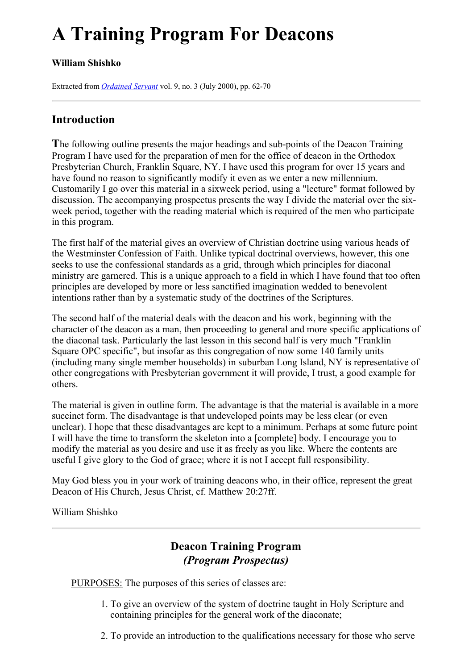# **A Training Program For Deacons**

# **William Shishko**

Extracted from *[Ordained](../../Ordained_servant.html) Servant* vol. 9, no. 3 (July 2000), pp. 62-70

# **Introduction**

**T**he following outline presents the major headings and sub-points of the Deacon Training Program I have used for the preparation of men for the office of deacon in the Orthodox Presbyterian Church, Franklin Square, NY. I have used this program for over 15 years and have found no reason to significantly modify it even as we enter a new millennium. Customarily I go over this material in a sixweek period, using a "lecture" format followed by discussion. The accompanying prospectus presents the way I divide the material over the sixweek period, together with the reading material which is required of the men who participate in this program.

The first half of the material gives an overview of Christian doctrine using various heads of the Westminster Confession of Faith. Unlike typical doctrinal overviews, however, this one seeks to use the confessional standards as a grid, through which principles for diaconal ministry are garnered. This is a unique approach to a field in which I have found that too often principles are developed by more or less sanctified imagination wedded to benevolent intentions rather than by a systematic study of the doctrines of the Scriptures.

The second half of the material deals with the deacon and his work, beginning with the character of the deacon as a man, then proceeding to general and more specific applications of the diaconal task. Particularly the last lesson in this second half is very much "Franklin Square OPC specific", but insofar as this congregation of now some 140 family units (including many single member households) in suburban Long Island, NY is representative of other congregations with Presbyterian government it will provide, I trust, a good example for others.

The material is given in outline form. The advantage is that the material is available in a more succinct form. The disadvantage is that undeveloped points may be less clear (or even unclear). I hope that these disadvantages are kept to a minimum. Perhaps at some future point I will have the time to transform the skeleton into a [complete] body. I encourage you to modify the material as you desire and use it as freely as you like. Where the contents are useful I give glory to the God of grace; where it is not I accept full responsibility.

May God bless you in your work of training deacons who, in their office, represent the great Deacon of His Church, Jesus Christ, cf. Matthew 20:27ff.

William Shishko

# **Deacon Training Program** *(Program Prospectus)*

PURPOSES: The purposes of this series of classes are:

- 1. To give an overview of the system of doctrine taught in Holy Scripture and containing principles for the general work of the diaconate;
- 2. To provide an introduction to the qualifications necessary for those who serve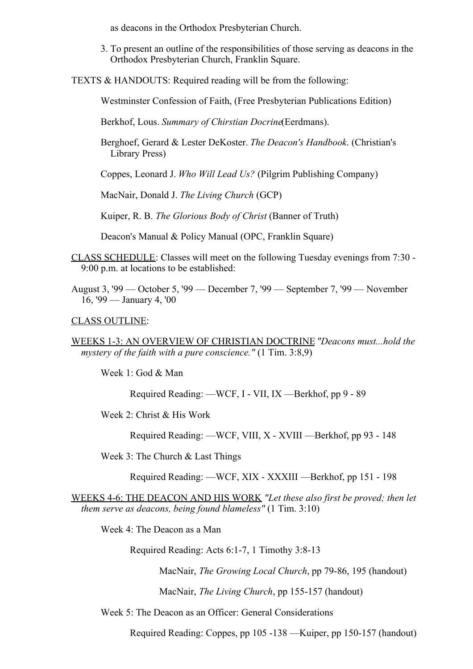as deacons in the Orthodox Presbyterian Church.

3. To present an outline of the responsibilities of those serving as deacons in the Orthodox Presbyterian Church, Franklin Square.

TEXTS & HANDOUTS: Required reading will be from the following:

Westminster Confession of Faith, (Free Presbyterian Publications Edition)

Berkhof, Lous. *Summary of Chirstian Docrine*(Eerdmans).

Berghoef, Gerard & Lester DeKoster. *The Deacon's Handbook*. (Christian's Library Press)

Coppes, Leonard J. *Who Will Lead Us?* (Pilgrim Publishing Company)

MacNair, Donald J. *The Living Church* (GCP)

Kuiper, R. B. *The Glorious Body of Christ* (Banner of Truth)

Deacon's Manual & Policy Manual (OPC, Franklin Square)

- CLASS SCHEDULE: Classes will meet on the following Tuesday evenings from 7:30 9:00 p.m. at locations to be established:
- August 3, '99 October 5, '99 December 7, '99 September 7, '99 November 16, '99 — January 4, '00

#### CLASS OUTLINE:

WEEKS 1-3: AN OVERVIEW OF CHRISTIAN DOCTRINE*"Deacons must...hold the mystery of the faith with a pure conscience."* (1 Tim. 3:8,9)

Week 1: God & Man

Required Reading: —WCF, I - VII, IX —Berkhof, pp 9 - 89

Week 2: Christ & His Work

Required Reading: —WCF, VIII, X - XVIII —Berkhof, pp 93 - 148

Week 3: The Church & Last Things

Required Reading: —WCF, XIX - XXXIII —Berkhof, pp 151 - 198

WEEKS 4-6: THE DEACON AND HIS WORK *"Let these also first be proved; then let them serve as deacons, being found blameless"* (1 Tim. 3:10)

Week 4: The Deacon as a Man

Required Reading: Acts 6:1-7, 1 Timothy 3:8-13

MacNair, *The Growing Local Church*, pp 79-86, 195 (handout)

MacNair, *The Living Church*, pp 155-157 (handout)

Week 5: The Deacon as an Officer: General Considerations

Required Reading: Coppes, pp 105 -138 —Kuiper, pp 150-157 (handout)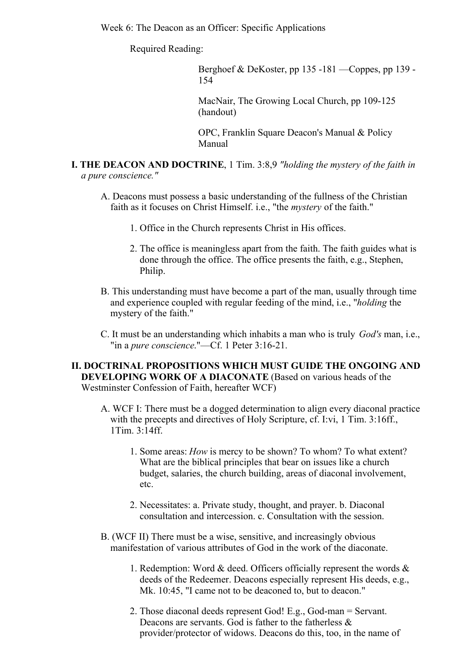Week 6: The Deacon as an Officer: Specific Applications

Required Reading:

Berghoef & DeKoster, pp 135 -181 —Coppes, pp 139 - 154

MacNair, The Growing Local Church, pp 109-125 (handout)

OPC, Franklin Square Deacon's Manual & Policy Manual

- **I. THE DEACON AND DOCTRINE**, 1 Tim. 3:8,9 *"holding the mystery of the faith in a pure conscience."*
	- A. Deacons must possess a basic understanding of the fullness of the Christian faith as it focuses on Christ Himself. i.e., "the *mystery* of the faith."
		- 1. Office in the Church represents Christ in His offices.
		- 2. The office is meaningless apart from the faith. The faith guides what is done through the office. The office presents the faith, e.g., Stephen, Philip.
	- B. This understanding must have become a part of the man, usually through time and experience coupled with regular feeding of the mind, i.e., "*holding* the mystery of the faith."
	- C. It must be an understanding which inhabits a man who is truly *God's* man, i.e., "in a *pure conscience*."—Cf. 1 Peter 3:16-21.

**II. DOCTRINAL PROPOSITIONS WHICH MUST GUIDE THE ONGOING AND DEVELOPING WORK OF A DIACONATE** (Based on various heads of the Westminster Confession of Faith, hereafter WCF)

- A. WCF I: There must be a dogged determination to align every diaconal practice with the precepts and directives of Holy Scripture, cf. I:vi, 1 Tim. 3:16ff., 1Tim. 3:14ff.
	- 1. Some areas: *How* is mercy to be shown? To whom? To what extent? What are the biblical principles that bear on issues like a church budget, salaries, the church building, areas of diaconal involvement, etc.
	- 2. Necessitates: a. Private study, thought, and prayer. b. Diaconal consultation and intercession. c. Consultation with the session.
- B. (WCF II) There must be a wise, sensitive, and increasingly obvious manifestation of various attributes of God in the work of the diaconate.
	- 1. Redemption: Word & deed. Officers officially represent the words & deeds of the Redeemer. Deacons especially represent His deeds, e.g., Mk. 10:45, "I came not to be deaconed to, but to deacon."
	- 2. Those diaconal deeds represent God! E.g., God-man = Servant. Deacons are servants. God is father to the fatherless & provider/protector of widows. Deacons do this, too, in the name of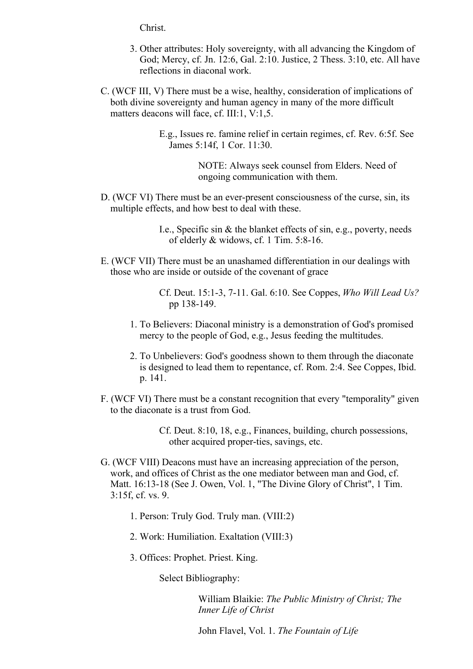Christ.

- 3. Other attributes: Holy sovereignty, with all advancing the Kingdom of God; Mercy, cf. Jn. 12:6, Gal. 2:10. Justice, 2 Thess. 3:10, etc. All have reflections in diaconal work.
- C. (WCF III, V) There must be a wise, healthy, consideration of implications of both divine sovereignty and human agency in many of the more difficult matters deacons will face, cf. III:1, V:1,5.

E.g., Issues re. famine relief in certain regimes, cf. Rev. 6:5f. See James 5:14f, 1 Cor. 11:30.

> NOTE: Always seek counsel from Elders. Need of ongoing communication with them.

D. (WCF VI) There must be an ever-present consciousness of the curse, sin, its multiple effects, and how best to deal with these.

> I.e., Specific sin & the blanket effects of sin, e.g., poverty, needs of elderly & widows, cf. 1 Tim. 5:8-16.

E. (WCF VII) There must be an unashamed differentiation in our dealings with those who are inside or outside of the covenant of grace

> Cf. Deut. 15:1-3, 7-11. Gal. 6:10. See Coppes, *Who Will Lead Us?* pp 138-149.

- 1. To Believers: Diaconal ministry is a demonstration of God's promised mercy to the people of God, e.g., Jesus feeding the multitudes.
- 2. To Unbelievers: God's goodness shown to them through the diaconate is designed to lead them to repentance, cf. Rom. 2:4. See Coppes, Ibid. p. 141.
- F. (WCF VI) There must be a constant recognition that every "temporality" given to the diaconate is a trust from God.

Cf. Deut. 8:10, 18, e.g., Finances, building, church possessions, other acquired proper-ties, savings, etc.

- G. (WCF VIII) Deacons must have an increasing appreciation of the person, work, and offices of Christ as the one mediator between man and God, cf. Matt. 16:13-18 (See J. Owen, Vol. 1, "The Divine Glory of Christ", 1 Tim. 3:15f, cf. vs. 9.
	- 1. Person: Truly God. Truly man. (VIII:2)
	- 2. Work: Humiliation. Exaltation (VIII:3)
	- 3. Offices: Prophet. Priest. King.

Select Bibliography:

William Blaikie: *The Public Ministry of Christ; The Inner Life of Christ*

John Flavel, Vol. 1. *The Fountain of Life*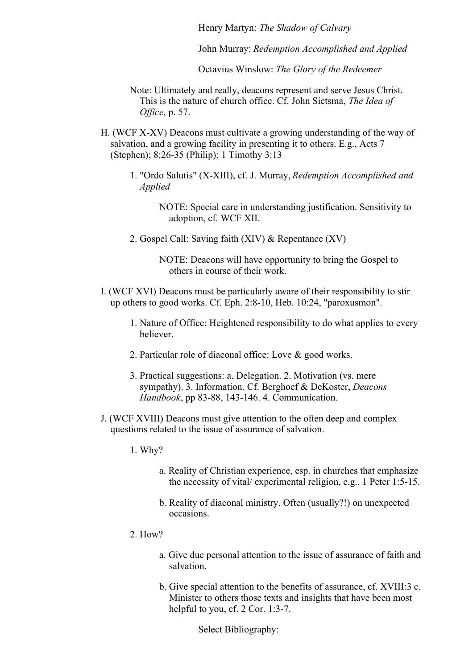Henry Martyn: *The Shadow of Calvary*

John Murray: *Redemption Accomplished and Applied*

Octavius Winslow: *The Glory of the Redeemer*

- Note: Ultimately and really, deacons represent and serve Jesus Christ. This is the nature of church office. Cf. John Sietsma, *The Idea of Office*, p. 57.
- H. (WCF X-XV) Deacons must cultivate a growing understanding of the way of salvation, and a growing facility in presenting it to others. E.g., Acts 7 (Stephen); 8:26-35 (Philip); 1 Timothy 3:13
	- 1. "Ordo Salutis" (X-XIII), cf. J. Murray, *Redemption Accomplished and Applied*
		- NOTE: Special care in understanding justification. Sensitivity to adoption, cf. WCF XII.
	- 2. Gospel Call: Saving faith (XIV) & Repentance (XV)

NOTE: Deacons will have opportunity to bring the Gospel to others in course of their work.

- I. (WCF XVI) Deacons must be particularly aware of their responsibility to stir up others to good works. Cf. Eph. 2:8-10, Heb. 10:24, "paroxusmon".
	- 1. Nature of Office: Heightened responsibility to do what applies to every believer.
	- 2. Particular role of diaconal office: Love & good works.
	- 3. Practical suggestions: a. Delegation. 2. Motivation (vs. mere sympathy). 3. Information. Cf. Berghoef & DeKoster, *Deacons Handbook*, pp 83-88, 143-146. 4. Communication.
- J. (WCF XVIII) Deacons must give attention to the often deep and complex questions related to the issue of assurance of salvation.
	- 1. Why?
		- a. Reality of Christian experience, esp. in churches that emphasize the necessity of vital/ experimental religion, e.g., 1 Peter 1:5-15.
		- b. Reality of diaconal ministry. Often (usually?!) on unexpected occasions.
	- 2. How?
		- a. Give due personal attention to the issue of assurance of faith and salvation.
		- b. Give special attention to the benefits of assurance, cf. XVIII:3 c. Minister to others those texts and insights that have been most helpful to you, cf. 2 Cor. 1:3-7.

Select Bibliography: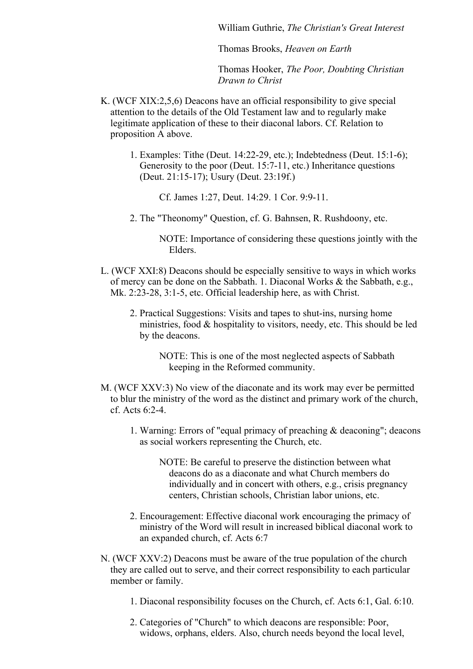William Guthrie, *The Christian's Great Interest*

Thomas Brooks, *Heaven on Earth*

Thomas Hooker, *The Poor, Doubting Christian Drawn to Christ*

- K. (WCF XIX:2,5,6) Deacons have an official responsibility to give special attention to the details of the Old Testament law and to regularly make legitimate application of these to their diaconal labors. Cf. Relation to proposition A above.
	- 1. Examples: Tithe (Deut. 14:22-29, etc.); Indebtedness (Deut. 15:1-6); Generosity to the poor (Deut. 15:7-11, etc.) Inheritance questions (Deut. 21:15-17); Usury (Deut. 23:19f.)

Cf. James 1:27, Deut. 14:29. 1 Cor. 9:9-11.

2. The "Theonomy" Question, cf. G. Bahnsen, R. Rushdoony, etc.

NOTE: Importance of considering these questions jointly with the Elders.

- L. (WCF XXI:8) Deacons should be especially sensitive to ways in which works of mercy can be done on the Sabbath. 1. Diaconal Works & the Sabbath, e.g., Mk. 2:23-28, 3:1-5, etc. Official leadership here, as with Christ.
	- 2. Practical Suggestions: Visits and tapes to shut-ins, nursing home ministries, food & hospitality to visitors, needy, etc. This should be led by the deacons.

NOTE: This is one of the most neglected aspects of Sabbath keeping in the Reformed community.

- M. (WCF XXV:3) No view of the diaconate and its work may ever be permitted to blur the ministry of the word as the distinct and primary work of the church, cf. Acts 6:2-4.
	- 1. Warning: Errors of "equal primacy of preaching & deaconing"; deacons as social workers representing the Church, etc.
		- NOTE: Be careful to preserve the distinction between what deacons do as a diaconate and what Church members do individually and in concert with others, e.g., crisis pregnancy centers, Christian schools, Christian labor unions, etc.
	- 2. Encouragement: Effective diaconal work encouraging the primacy of ministry of the Word will result in increased biblical diaconal work to an expanded church, cf. Acts 6:7
- N. (WCF XXV:2) Deacons must be aware of the true population of the church they are called out to serve, and their correct responsibility to each particular member or family.
	- 1. Diaconal responsibility focuses on the Church, cf. Acts 6:1, Gal. 6:10.
	- 2. Categories of "Church" to which deacons are responsible: Poor, widows, orphans, elders. Also, church needs beyond the local level,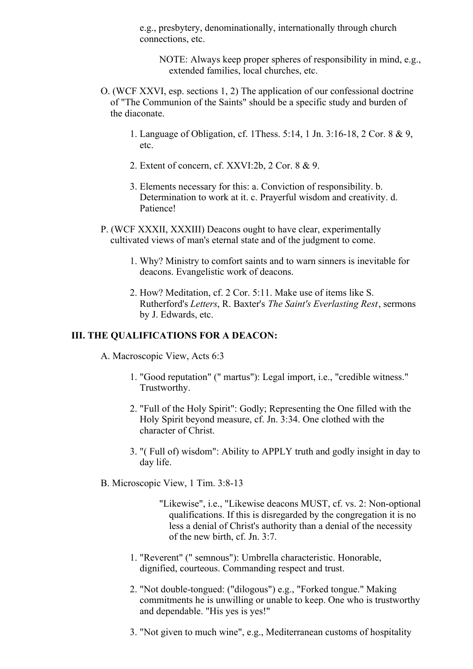e.g., presbytery, denominationally, internationally through church connections, etc.

NOTE: Always keep proper spheres of responsibility in mind, e.g., extended families, local churches, etc.

- O. (WCF XXVI, esp. sections 1, 2) The application of our confessional doctrine of "The Communion of the Saints" should be a specific study and burden of the diaconate.
	- 1. Language of Obligation, cf. 1Thess. 5:14, 1 Jn. 3:16-18, 2 Cor. 8 & 9, etc.
	- 2. Extent of concern, cf. XXVI:2b, 2 Cor. 8 & 9.
	- 3. Elements necessary for this: a. Conviction of responsibility. b. Determination to work at it. c. Prayerful wisdom and creativity. d. Patience!
- P. (WCF XXXII, XXXIII) Deacons ought to have clear, experimentally cultivated views of man's eternal state and of the judgment to come.
	- 1. Why? Ministry to comfort saints and to warn sinners is inevitable for deacons. Evangelistic work of deacons.
	- 2. How? Meditation, cf. 2 Cor. 5:11. Make use of items like S. Rutherford's *Letters*, R. Baxter's *The Saint's Everlasting Rest*, sermons by J. Edwards, etc.

# **III. THE QUALIFICATIONS FOR A DEACON:**

- A. Macroscopic View, Acts 6:3
	- 1. "Good reputation" (" martus"): Legal import, i.e., "credible witness." Trustworthy.
	- 2. "Full of the Holy Spirit": Godly; Representing the One filled with the Holy Spirit beyond measure, cf. Jn. 3:34. One clothed with the character of Christ.
	- 3. "( Full of) wisdom": Ability to APPLY truth and godly insight in day to day life.
- B. Microscopic View, 1 Tim. 3:8-13
	- "Likewise", i.e., "Likewise deacons MUST, cf. vs. 2: Non-optional qualifications. If this is disregarded by the congregation it is no less a denial of Christ's authority than a denial of the necessity of the new birth, cf. Jn. 3:7.
	- 1. "Reverent" (" semnous"): Umbrella characteristic. Honorable, dignified, courteous. Commanding respect and trust.
	- 2. "Not double-tongued: ("dilogous") e.g., "Forked tongue." Making commitments he is unwilling or unable to keep. One who is trustworthy and dependable. "His yes is yes!"
	- 3. "Not given to much wine", e.g., Mediterranean customs of hospitality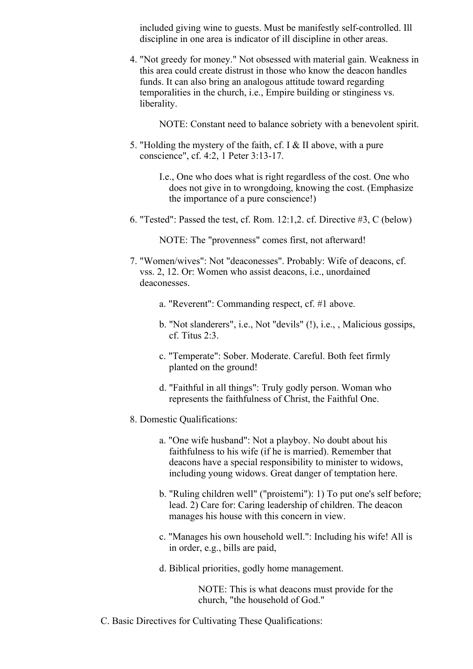included giving wine to guests. Must be manifestly self-controlled. Ill discipline in one area is indicator of ill discipline in other areas.

4. "Not greedy for money." Not obsessed with material gain. Weakness in this area could create distrust in those who know the deacon handles funds. It can also bring an analogous attitude toward regarding temporalities in the church, i.e., Empire building or stinginess vs. liberality.

NOTE: Constant need to balance sobriety with a benevolent spirit.

5. "Holding the mystery of the faith, cf. I & II above, with a pure conscience", cf. 4:2, 1 Peter 3:13-17.

> I.e., One who does what is right regardless of the cost. One who does not give in to wrongdoing, knowing the cost. (Emphasize the importance of a pure conscience!)

6. "Tested": Passed the test, cf. Rom. 12:1,2. cf. Directive #3, C (below)

NOTE: The "provenness" comes first, not afterward!

- 7. "Women/wives": Not "deaconesses". Probably: Wife of deacons, cf. vss. 2, 12. Or: Women who assist deacons, i.e., unordained deaconesses.
	- a. "Reverent": Commanding respect, cf. #1 above.
	- b. "Not slanderers", i.e., Not "devils" (!), i.e., , Malicious gossips, cf. Titus 2:3.
	- c. "Temperate": Sober. Moderate. Careful. Both feet firmly planted on the ground!
	- d. "Faithful in all things": Truly godly person. Woman who represents the faithfulness of Christ, the Faithful One.
- 8. Domestic Qualifications:
	- a. "One wife husband": Not a playboy. No doubt about his faithfulness to his wife (if he is married). Remember that deacons have a special responsibility to minister to widows, including young widows. Great danger of temptation here.
	- b. "Ruling children well" ("proistemi"): 1) To put one's self before; lead. 2) Care for: Caring leadership of children. The deacon manages his house with this concern in view.
	- c. "Manages his own household well.": Including his wife! All is in order, e.g., bills are paid,
	- d. Biblical priorities, godly home management.

NOTE: This is what deacons must provide for the church, "the household of God."

C. Basic Directives for Cultivating These Qualifications: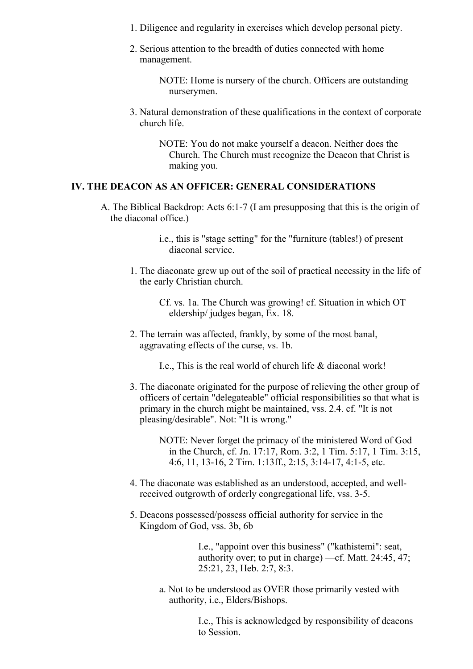- 1. Diligence and regularity in exercises which develop personal piety.
- 2. Serious attention to the breadth of duties connected with home management.
	- NOTE: Home is nursery of the church. Officers are outstanding nurserymen.
- 3. Natural demonstration of these qualifications in the context of corporate church life.

NOTE: You do not make yourself a deacon. Neither does the Church. The Church must recognize the Deacon that Christ is making you.

## **IV. THE DEACON AS AN OFFICER: GENERAL CONSIDERATIONS**

- A. The Biblical Backdrop: Acts 6:1-7 (I am presupposing that this is the origin of the diaconal office.)
	- i.e., this is "stage setting" for the "furniture (tables!) of present diaconal service.
	- 1. The diaconate grew up out of the soil of practical necessity in the life of the early Christian church.

Cf. vs. 1a. The Church was growing! cf. Situation in which OT eldership/ judges began, Ex. 18.

2. The terrain was affected, frankly, by some of the most banal, aggravating effects of the curse, vs. 1b.

I.e., This is the real world of church life & diaconal work!

3. The diaconate originated for the purpose of relieving the other group of officers of certain "delegateable" official responsibilities so that what is primary in the church might be maintained, vss. 2.4. cf. "It is not pleasing/desirable". Not: "It is wrong."

> NOTE: Never forget the primacy of the ministered Word of God in the Church, cf. Jn. 17:17, Rom. 3:2, 1 Tim. 5:17, 1 Tim. 3:15, 4:6, 11, 13-16, 2 Tim. 1:13ff., 2:15, 3:14-17, 4:1-5, etc.

- 4. The diaconate was established as an understood, accepted, and wellreceived outgrowth of orderly congregational life, vss. 3-5.
- 5. Deacons possessed/possess official authority for service in the Kingdom of God, vss. 3b, 6b

I.e., "appoint over this business" ("kathistemi": seat, authority over; to put in charge) —cf. Matt. 24:45, 47; 25:21, 23, Heb. 2:7, 8:3.

a. Not to be understood as OVER those primarily vested with authority, i.e., Elders/Bishops.

> I.e., This is acknowledged by responsibility of deacons to Session.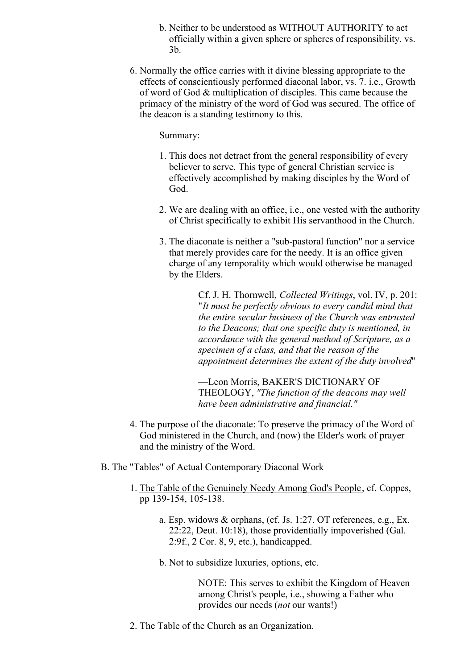- b. Neither to be understood as WITHOUT AUTHORITY to act officially within a given sphere or spheres of responsibility. vs. 3b.
- 6. Normally the office carries with it divine blessing appropriate to the effects of conscientiously performed diaconal labor, vs. 7. i.e., Growth of word of God & multiplication of disciples. This came because the primacy of the ministry of the word of God was secured. The office of the deacon is a standing testimony to this.

#### Summary:

- 1. This does not detract from the general responsibility of every believer to serve. This type of general Christian service is effectively accomplished by making disciples by the Word of God.
- 2. We are dealing with an office, i.e., one vested with the authority of Christ specifically to exhibit His servanthood in the Church.
- 3. The diaconate is neither a "sub-pastoral function" nor a service that merely provides care for the needy. It is an office given charge of any temporality which would otherwise be managed by the Elders.

Cf. J. H. Thornwell, *Collected Writings*, vol. IV, p. 201: "*It must be perfectly obvious to every candid mind that the entire secular business of the Church was entrusted to the Deacons; that one specific duty is mentioned, in accordance with the general method of Scripture, as a specimen of a class, and that the reason of the appointment determines the extent of the duty involved*"

—Leon Morris, BAKER'S DICTIONARY OF THEOLOGY, *"The function of the deacons may well have been administrative and financial."*

- 4. The purpose of the diaconate: To preserve the primacy of the Word of God ministered in the Church, and (now) the Elder's work of prayer and the ministry of the Word.
- B. The "Tables" of Actual Contemporary Diaconal Work
	- 1. The Table of the Genuinely Needy Among God's People, cf. Coppes, pp 139-154, 105-138.
		- a. Esp. widows & orphans, (cf. Js. 1:27. OT references, e.g., Ex. 22:22, Deut. 10:18), those providentially impoverished (Gal. 2:9f., 2 Cor. 8, 9, etc.), handicapped.
		- b. Not to subsidize luxuries, options, etc.

NOTE: This serves to exhibit the Kingdom of Heaven among Christ's people, i.e., showing a Father who provides our needs (*not* our wants!)

2. The Table of the Church as an Organization.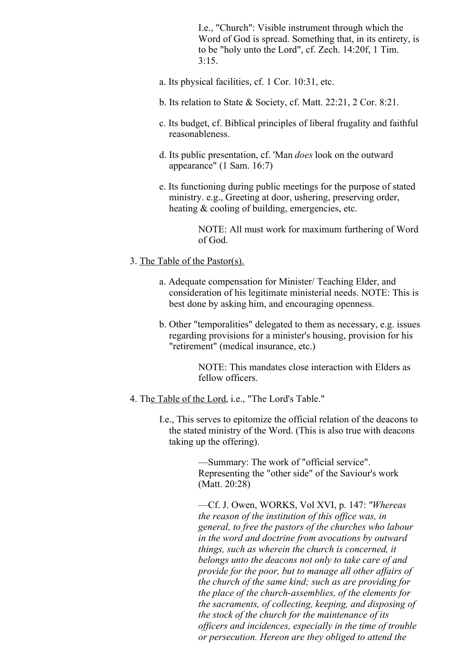I.e., "Church": Visible instrument through which the Word of God is spread. Something that, in its entirety, is to be "holy unto the Lord", cf. Zech. 14:20f, 1 Tim.  $3:15.$ 

- a. Its physical facilities, cf. 1 Cor. 10:31, etc.
- b. Its relation to State & Society, cf. Matt. 22:21, 2 Cor. 8:21.
- c. Its budget, cf. Biblical principles of liberal frugality and faithful reasonableness.
- d. Its public presentation, cf. 'Man *does* look on the outward appearance" (1 Sam. 16:7)
- e. Its functioning during public meetings for the purpose of stated ministry. e.g., Greeting at door, ushering, preserving order, heating & cooling of building, emergencies, etc.

NOTE: All must work for maximum furthering of Word of God.

#### 3. The Table of the Pastor(s).

- a. Adequate compensation for Minister/ Teaching Elder, and consideration of his legitimate ministerial needs. NOTE: This is best done by asking him, and encouraging openness.
- b. Other "temporalities" delegated to them as necessary, e.g. issues regarding provisions for a minister's housing, provision for his "retirement" (medical insurance, etc.)

NOTE: This mandates close interaction with Elders as fellow officers.

- 4. The Table of the Lord, i.e., "The Lord's Table."
	- I.e., This serves to epitomize the official relation of the deacons to the stated ministry of the Word. (This is also true with deacons taking up the offering).

—Summary: The work of "official service". Representing the "other side" of the Saviour's work (Matt. 20:28)

—Cf. J. Owen, WORKS, Vol XVI, p. 147: *"Whereas the reason of the institution of this of ice was, in general, to free the pastors of the churches who labour in the word and doctrine from avocations by outward things, such as wherein the church is concerned, it belongs unto the deacons not only to take care of and provide for the poor, but to manage all other af airs of the church of the same kind; such as are providing for the place of the church-assemblies, of the elements for the sacraments, of collecting, keeping, and disposing of the stock of the church for the maintenance of its of icers and incidences, especially in the time of trouble or persecution. Hereon are they obliged to attend the*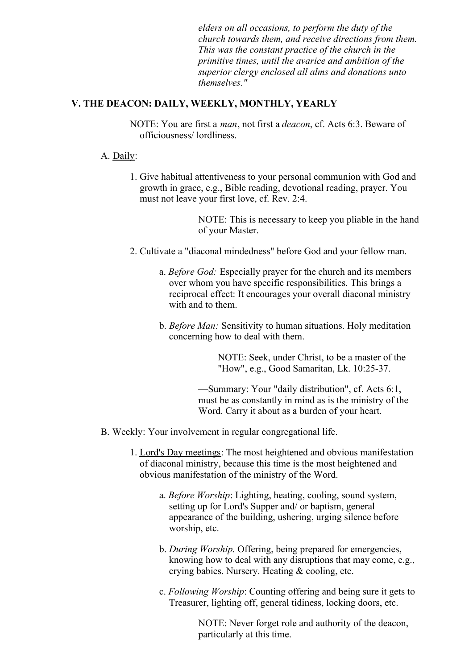*elders on all occasions, to perform the duty of the church towards them, and receive directions from them. This was the constant practice of the church in the primitive times, until the avarice and ambition of the superior clergy enclosed all alms and donations unto themselves."*

# **V. THE DEACON: DAILY, WEEKLY, MONTHLY, YEARLY**

NOTE: You are first a *man*, not first a *deacon*, cf. Acts 6:3. Beware of officiousness/ lordliness.

# A. Daily:

1. Give habitual attentiveness to your personal communion with God and growth in grace, e.g., Bible reading, devotional reading, prayer. You must not leave your first love, cf. Rev. 2:4.

> NOTE: This is necessary to keep you pliable in the hand of your Master.

- 2. Cultivate a "diaconal mindedness" before God and your fellow man.
	- a. *Before God:* Especially prayer for the church and its members over whom you have specific responsibilities. This brings a reciprocal effect: It encourages your overall diaconal ministry with and to them.
	- b. *Before Man:* Sensitivity to human situations. Holy meditation concerning how to deal with them.

NOTE: Seek, under Christ, to be a master of the "How", e.g., Good Samaritan, Lk. 10:25-37.

—Summary: Your "daily distribution", cf. Acts 6:1, must be as constantly in mind as is the ministry of the Word. Carry it about as a burden of your heart.

- B. Weekly: Your involvement in regular congregational life.
	- 1. Lord's Day meetings: The most heightened and obvious manifestation of diaconal ministry, because this time is the most heightened and obvious manifestation of the ministry of the Word.
		- a. *Before Worship*: Lighting, heating, cooling, sound system, setting up for Lord's Supper and/ or baptism, general appearance of the building, ushering, urging silence before worship, etc.
		- b. *During Worship*. Offering, being prepared for emergencies, knowing how to deal with any disruptions that may come, e.g., crying babies. Nursery. Heating & cooling, etc.
		- c. *Following Worship*: Counting offering and being sure it gets to Treasurer, lighting off, general tidiness, locking doors, etc.

NOTE: Never forget role and authority of the deacon, particularly at this time.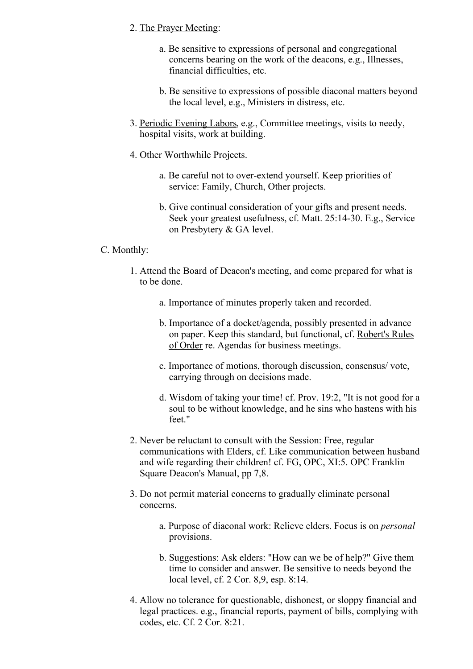# 2. The Prayer Meeting:

- a. Be sensitive to expressions of personal and congregational concerns bearing on the work of the deacons, e.g., Illnesses, financial difficulties, etc.
- b. Be sensitive to expressions of possible diaconal matters beyond the local level, e.g., Ministers in distress, etc.
- 3. Periodic Evening Labors, e.g., Committee meetings, visits to needy, hospital visits, work at building.
- 4. Other Worthwhile Projects.
	- a. Be careful not to over-extend yourself. Keep priorities of service: Family, Church, Other projects.
	- b. Give continual consideration of your gifts and present needs. Seek your greatest usefulness, cf. Matt. 25:14-30. E.g., Service on Presbytery & GA level.

# C. Monthly:

- 1. Attend the Board of Deacon's meeting, and come prepared for what is to be done.
	- a. Importance of minutes properly taken and recorded.
	- b. Importance of a docket/agenda, possibly presented in advance on paper. Keep this standard, but functional, cf. Robert's Rules of Order re. Agendas for business meetings.
	- c. Importance of motions, thorough discussion, consensus/ vote, carrying through on decisions made.
	- d. Wisdom of taking your time! cf. Prov. 19:2, "It is not good for a soul to be without knowledge, and he sins who hastens with his feet."
- 2. Never be reluctant to consult with the Session: Free, regular communications with Elders, cf. Like communication between husband and wife regarding their children! cf. FG, OPC, XI:5. OPC Franklin Square Deacon's Manual, pp 7,8.
- 3. Do not permit material concerns to gradually eliminate personal concerns.
	- a. Purpose of diaconal work: Relieve elders. Focus is on *personal* provisions.
	- b. Suggestions: Ask elders: "How can we be of help?" Give them time to consider and answer. Be sensitive to needs beyond the local level, cf. 2 Cor. 8,9, esp. 8:14.
- 4. Allow no tolerance for questionable, dishonest, or sloppy financial and legal practices. e.g., financial reports, payment of bills, complying with codes, etc. Cf. 2 Cor. 8:21.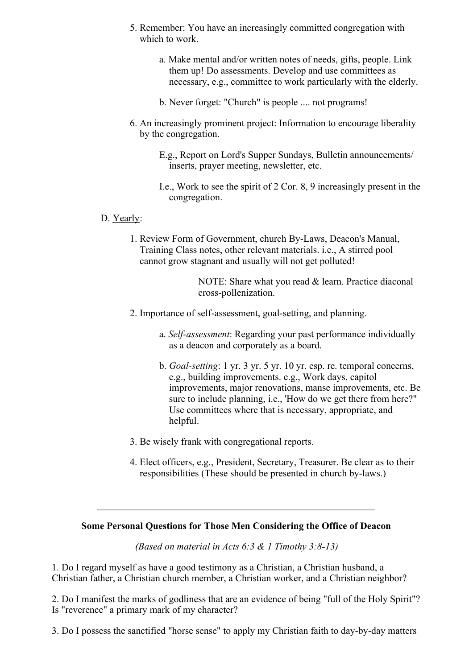- 5. Remember: You have an increasingly committed congregation with which to work.
	- a. Make mental and/or written notes of needs, gifts, people. Link them up! Do assessments. Develop and use committees as necessary, e.g., committee to work particularly with the elderly.
	- b. Never forget: "Church" is people .... not programs!
- 6. An increasingly prominent project: Information to encourage liberality by the congregation.
	- E.g., Report on Lord's Supper Sundays, Bulletin announcements/ inserts, prayer meeting, newsletter, etc.
	- I.e., Work to see the spirit of 2 Cor. 8, 9 increasingly present in the congregation.

# D. Yearly:

1. Review Form of Government, church By-Laws, Deacon's Manual, Training Class notes, other relevant materials. i.e., A stirred pool cannot grow stagnant and usually will not get polluted!

> NOTE: Share what you read & learn. Practice diaconal cross-pollenization.

- 2. Importance of self-assessment, goal-setting, and planning.
	- a. *Self-assessment*: Regarding your past performance individually as a deacon and corporately as a board.
	- b. *Goal-setting*: 1 yr. 3 yr. 5 yr. 10 yr. esp. re. temporal concerns, e.g., building improvements. e.g., Work days, capitol improvements, major renovations, manse improvements, etc. Be sure to include planning, i.e., 'How do we get there from here?" Use committees where that is necessary, appropriate, and helpful.
- 3. Be wisely frank with congregational reports.
- 4. Elect officers, e.g., President, Secretary, Treasurer. Be clear as to their responsibilities (These should be presented in church by-laws.)

## **Some Personal Questions for Those Men Considering the Office of Deacon**

*(Based on material in Acts 6:3 & 1 Timothy 3:8-13)*

1. Do I regard myself as have a good testimony as a Christian, a Christian husband, a Christian father, a Christian church member, a Christian worker, and a Christian neighbor?

2. Do I manifest the marks of godliness that are an evidence of being "full of the Holy Spirit"? Is "reverence" a primary mark of my character?

3. Do I possess the sanctified "horse sense" to apply my Christian faith to day-by-day matters